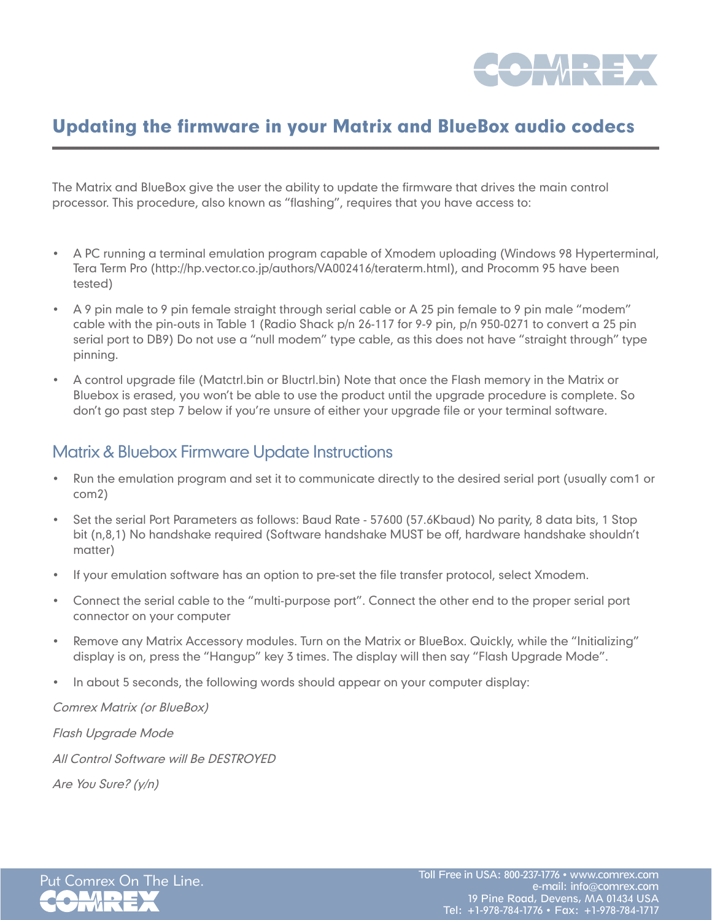

## Updating the firmware in your Matrix and BlueBox audio codecs

The Matrix and BlueBox give the user the ability to update the firmware that drives the main control processor. This procedure, also known as "flashing", requires that you have access to:

- A PC running a terminal emulation program capable of Xmodem uploading (Windows 98 Hyperterminal, Tera Term Pro (http://hp.vector.co.jp/authors/VA002416/teraterm.html), and Procomm 95 have been tested)
- A 9 pin male to 9 pin female straight through serial cable or A 25 pin female to 9 pin male "modem" cable with the pin-outs in Table 1 (Radio Shack p/n 26-117 for 9-9 pin, p/n 950-0271 to convert a 25 pin serial port to DB9) Do not use a "null modem" type cable, as this does not have "straight through" type pinning.
- A control upgrade file (Matctrl.bin or Bluctrl.bin) Note that once the Flash memory in the Matrix or Bluebox is erased, you won't be able to use the product until the upgrade procedure is complete. So don't go past step 7 below if you're unsure of either your upgrade file or your terminal software.

## Matrix & Bluebox Firmware Update Instructions

- Run the emulation program and set it to communicate directly to the desired serial port (usually com1 or com2)
- Set the serial Port Parameters as follows: Baud Rate 57600 (57.6Kbaud) No parity, 8 data bits, 1 Stop bit (n,8,1) No handshake required (Software handshake MUST be off, hardware handshake shouldn't matter)
- If your emulation software has an option to pre-set the file transfer protocol, select Xmodem.
- Connect the serial cable to the "multi-purpose port". Connect the other end to the proper serial port connector on your computer
- Remove any Matrix Accessory modules. Turn on the Matrix or BlueBox. Quickly, while the "Initializing" display is on, press the "Hangup" key 3 times. The display will then say "Flash Upgrade Mode".
- In about 5 seconds, the following words should appear on your computer display:

Comrex Matrix (or BlueBox)

Flash Upgrade Mode

All Control Software will Be DESTROYED

Are You Sure? (y/n)